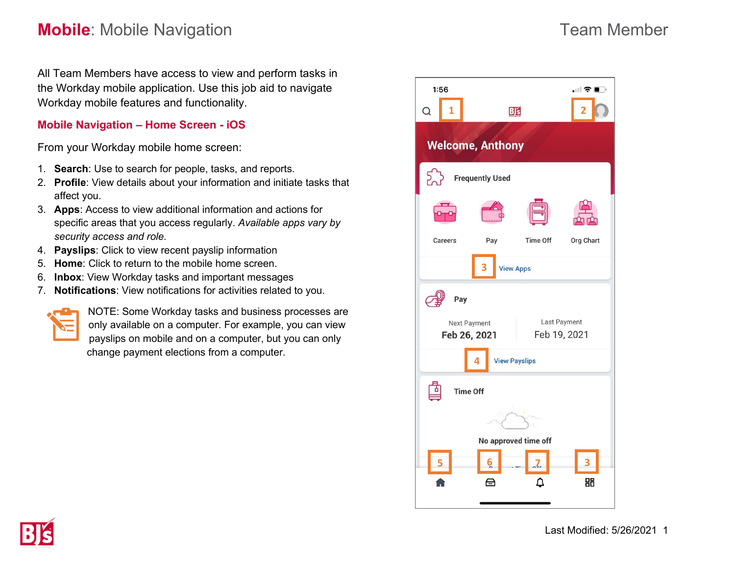All Team Members have access to view and perform tasks in the Workday mobile application. Use this job aid to navigate Workday mobile features and functionality.

### **Mobile Navigation – Home Screen - iOS**

From your Workday mobile home screen:

- 1. **Search**: Use to search for people, tasks, and reports.
- 2. **Profile**: View details about your information and initiate tasks that affect you.
- 3. **Apps**: Access to view additional information and actions for specific areas that you access regularly. *Available apps vary by security access and role.*
- 4. **Payslips**: Click to view recent payslip information
- 5. **Home**: Click to return to the mobile home screen.
- 6. **Inbox**: View Workday tasks and important messages
- 7. **Notifications**: View notifications for activities related to you.



NOTE: Some Workday tasks and business processes are only available on a computer. For example, you can view payslips on mobile and on a computer, but you can only change payment elections from a computer.



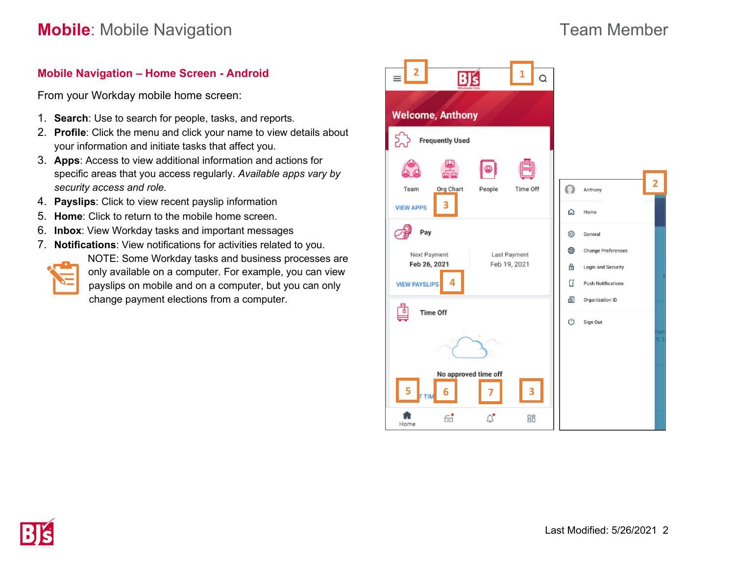## **Mobile Navigation – Home Screen - Android**

From your Workday mobile home screen:

- 1. **Search**: Use to search for people, tasks, and reports.
- 2. **Profile**: Click the menu and click your name to view details about your information and initiate tasks that affect you.
- 3. **Apps**: Access to view additional information and actions for specific areas that you access regularly. *Available apps vary by security access and role.*
- 4. **Payslips**: Click to view recent payslip information
- 5. **Home**: Click to return to the mobile home screen.
- 6. **Inbox**: View Workday tasks and important messages
- 7. **Notifications**: View notifications for activities related to you. NOTE: Some Workday tasks and business processes are only available on a computer. For example, you can view payslips on mobile and on a computer, but you can only change payment elections from a computer.

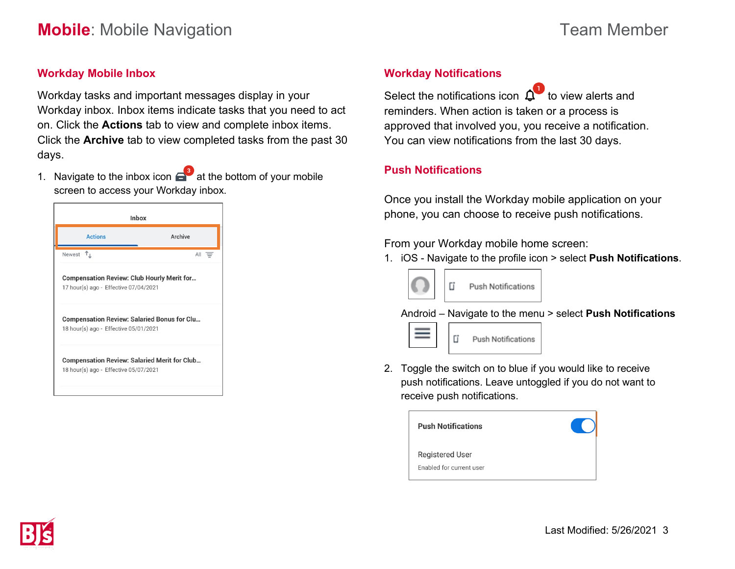### **Workday Mobile Inbox**

Workday tasks and important messages display in your Workday inbox. Inbox items indicate tasks that you need to act on. Click the **Actions** tab to view and complete inbox items. Click the **Archive** tab to view completed tasks from the past 30 days.

1. Navigate to the inbox icon  $\epsilon$  at the bottom of your mobile screen to access your Workday inbox.

| Inbox                                                                                        |         |
|----------------------------------------------------------------------------------------------|---------|
| <b>Actions</b>                                                                               | Archive |
| $\tau_{\perp}$<br>Newest                                                                     | All     |
| <b>Compensation Review: Club Hourly Merit for</b><br>17 hour(s) ago - Effective 07/04/2021   |         |
| <b>Compensation Review: Salaried Bonus for Clu</b><br>18 hour(s) ago - Effective 05/01/2021  |         |
| <b>Compensation Review: Salaried Merit for Club</b><br>18 hour(s) ago - Effective 05/07/2021 |         |

### **Workday Notifications**

Select the notifications icon  $\overline{\mathbf{Q}}^{\bullet}$  to view alerts and reminders. When action is taken or a process is approved that involved you, you receive a notification. You can view notifications from the last 30 days.

### **Push Notifications**

Once you install the Workday mobile application on your phone, you can choose to receive push notifications.

From your Workday mobile home screen:

1. iOS - Navigate to the profile icon > select **Push Notifications**.



Android – Navigate to the menu > select **Push Notifications**



2. Toggle the switch on to blue if you would like to receive push notifications. Leave untoggled if you do not want to receive push notifications.

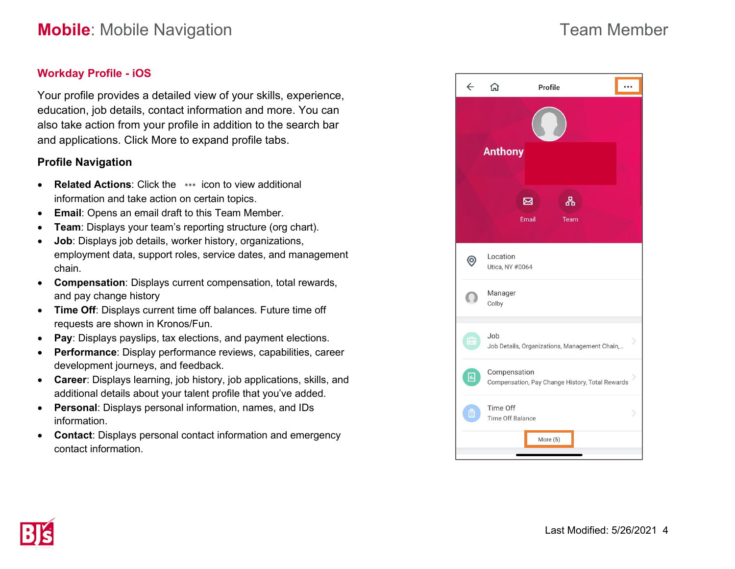## **Workday Profile - iOS**

Your profile provides a detailed view of your skills, experience, education, job details, contact information and more. You can also take action from your profile in addition to the search bar and applications. Click More to expand profile tabs.

### **Profile Navigation**

- **Related Actions:** Click the **interpretate view additional** information and take action on certain topics.
- **Email**: Opens an email draft to this Team Member.
- **Team**: Displays your team's reporting structure (org chart).
- **Job**: Displays job details, worker history, organizations, employment data, support roles, service dates, and management chain.
- **Compensation**: Displays current compensation, total rewards, and pay change history
- **Time Off**: Displays current time off balances. Future time off requests are shown in Kronos/Fun.
- **Pay**: Displays payslips, tax elections, and payment elections.
- **Performance**: Display performance reviews, capabilities, career development journeys, and feedback.
- **Career**: Displays learning, job history, job applications, skills, and additional details about your talent profile that you've added.
- **Personal**: Displays personal information, names, and IDs information.
- **Contact**: Displays personal contact information and emergency contact information.